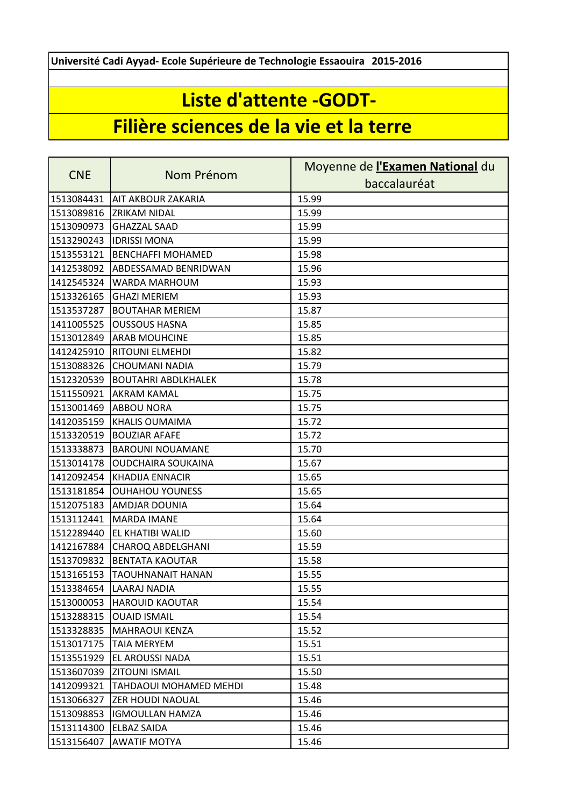**Université Cadi Ayyad- Ecole Supérieure de Technologie Essaouira 2015-2016**

## **Liste d'attente -GODT-**

## **Filière sciences de la vie et la terre**

| <b>CNE</b> | Nom Prénom                    | Moyenne de l'Examen National du |
|------------|-------------------------------|---------------------------------|
|            |                               | baccalauréat                    |
| 1513084431 | AIT AKBOUR ZAKARIA            | 15.99                           |
| 1513089816 | <b>ZRIKAM NIDAL</b>           | 15.99                           |
| 1513090973 | <b>GHAZZAL SAAD</b>           | 15.99                           |
| 1513290243 | <b>IDRISSI MONA</b>           | 15.99                           |
| 1513553121 | <b>BENCHAFFI MOHAMED</b>      | 15.98                           |
| 1412538092 | ABDESSAMAD BENRIDWAN          | 15.96                           |
| 1412545324 | WARDA MARHOUM                 | 15.93                           |
| 1513326165 | <b>GHAZI MERIEM</b>           | 15.93                           |
| 1513537287 | <b>BOUTAHAR MERIEM</b>        | 15.87                           |
| 1411005525 | <b>OUSSOUS HASNA</b>          | 15.85                           |
| 1513012849 | <b>ARAB MOUHCINE</b>          | 15.85                           |
| 1412425910 | <b>RITOUNI ELMEHDI</b>        | 15.82                           |
| 1513088326 | <b>CHOUMANI NADIA</b>         | 15.79                           |
| 1512320539 | <b>BOUTAHRI ABDLKHALEK</b>    | 15.78                           |
| 1511550921 | <b>AKRAM KAMAL</b>            | 15.75                           |
| 1513001469 | <b>ABBOU NORA</b>             | 15.75                           |
| 1412035159 | <b>KHALIS OUMAIMA</b>         | 15.72                           |
| 1513320519 | <b>BOUZIAR AFAFE</b>          | 15.72                           |
| 1513338873 | <b>BAROUNI NOUAMANE</b>       | 15.70                           |
| 1513014178 | <b>OUDCHAIRA SOUKAINA</b>     | 15.67                           |
| 1412092454 | <b>KHADIJA ENNACIR</b>        | 15.65                           |
| 1513181854 | <b>OUHAHOU YOUNESS</b>        | 15.65                           |
| 1512075183 | AMDJAR DOUNIA                 | 15.64                           |
| 1513112441 | <b>MARDA IMANE</b>            | 15.64                           |
| 1512289440 | EL KHATIBI WALID              | 15.60                           |
| 1412167884 | <b>CHAROQ ABDELGHANI</b>      | 15.59                           |
| 1513709832 | <b>BENTATA KAOUTAR</b>        | 15.58                           |
| 1513165153 | <b>TAOUHNANAIT HANAN</b>      | 15.55                           |
|            | 1513384654 LAARAJ NADIA       | 15.55                           |
| 1513000053 | <b>HAROUID KAOUTAR</b>        | 15.54                           |
| 1513288315 | <b>OUAID ISMAIL</b>           | 15.54                           |
| 1513328835 | <b>MAHRAOUI KENZA</b>         | 15.52                           |
| 1513017175 | <b>TAIA MERYEM</b>            | 15.51                           |
| 1513551929 | EL AROUSSI NADA               | 15.51                           |
| 1513607039 | <b>ZITOUNI ISMAIL</b>         | 15.50                           |
| 1412099321 | <b>TAHDAOUI MOHAMED MEHDI</b> | 15.48                           |
| 1513066327 | ZER HOUDI NAOUAL              | 15.46                           |
| 1513098853 | <b>IGMOULLAN HAMZA</b>        | 15.46                           |
| 1513114300 | <b>ELBAZ SAIDA</b>            | 15.46                           |
| 1513156407 | <b>AWATIF MOTYA</b>           | 15.46                           |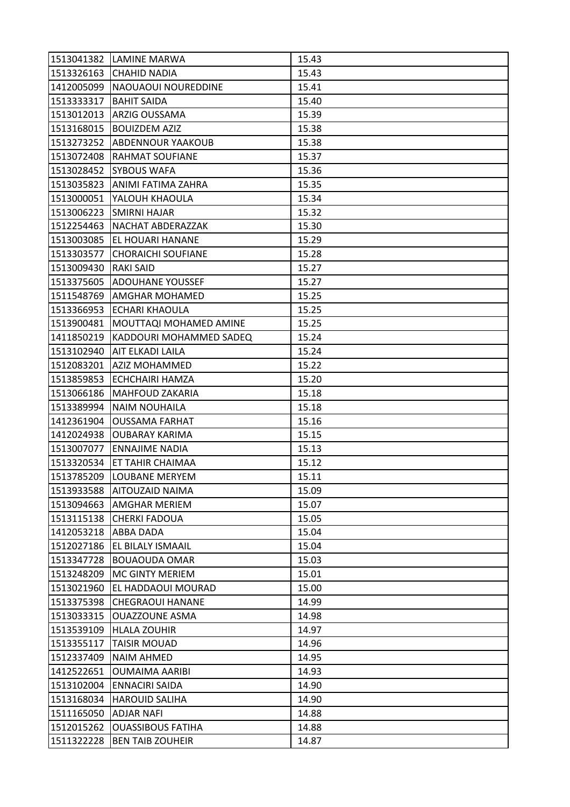|            | 1513041382 LAMINE MARWA    | 15.43 |
|------------|----------------------------|-------|
| 1513326163 | <b>CHAHID NADIA</b>        | 15.43 |
| 1412005099 | NAOUAOUI NOUREDDINE        | 15.41 |
| 1513333317 | <b>BAHIT SAIDA</b>         | 15.40 |
| 1513012013 | ARZIG OUSSAMA              | 15.39 |
| 1513168015 | <b>BOUIZDEM AZIZ</b>       | 15.38 |
| 1513273252 | <b>ABDENNOUR YAAKOUB</b>   | 15.38 |
| 1513072408 | RAHMAT SOUFIANE            | 15.37 |
| 1513028452 | <b>SYBOUS WAFA</b>         | 15.36 |
| 1513035823 | ANIMI FATIMA ZAHRA         | 15.35 |
| 1513000051 | YALOUH KHAOULA             | 15.34 |
| 1513006223 | <b>SMIRNI HAJAR</b>        | 15.32 |
| 1512254463 | NACHAT ABDERAZZAK          | 15.30 |
| 1513003085 | EL HOUARI HANANE           | 15.29 |
| 1513303577 | <b>CHORAICHI SOUFIANE</b>  | 15.28 |
| 1513009430 | <b>RAKI SAID</b>           | 15.27 |
| 1513375605 | ADOUHANE YOUSSEF           | 15.27 |
| 1511548769 | AMGHAR MOHAMED             | 15.25 |
| 1513366953 | <b>ECHARI KHAOULA</b>      | 15.25 |
| 1513900481 | MOUTTAQI MOHAMED AMINE     | 15.25 |
| 1411850219 | KADDOURI MOHAMMED SADEQ    | 15.24 |
| 1513102940 | AIT ELKADI LAILA           | 15.24 |
| 1512083201 | <b>AZIZ MOHAMMED</b>       | 15.22 |
| 1513859853 | <b>ECHCHAIRI HAMZA</b>     | 15.20 |
| 1513066186 | <b>MAHFOUD ZAKARIA</b>     | 15.18 |
| 1513389994 | <b>NAIM NOUHAILA</b>       | 15.18 |
| 1412361904 | <b>OUSSAMA FARHAT</b>      | 15.16 |
| 1412024938 | <b>OUBARAY KARIMA</b>      | 15.15 |
| 1513007077 | <b>ENNAJIME NADIA</b>      | 15.13 |
| 1513320534 | <b>ET TAHIR CHAIMAA</b>    | 15.12 |
| 1513785209 | <b>LOUBANE MERYEM</b>      | 15.11 |
|            | 1513933588 AITOUZAID NAIMA | 15.09 |
| 1513094663 | <b>AMGHAR MERIEM</b>       | 15.07 |
| 1513115138 | <b>CHERKI FADOUA</b>       | 15.05 |
| 1412053218 | ABBA DADA                  | 15.04 |
| 1512027186 | <b>EL BILALY ISMAAIL</b>   | 15.04 |
| 1513347728 | <b>BOUAOUDA OMAR</b>       | 15.03 |
| 1513248209 | MC GINTY MERIEM            | 15.01 |
| 1513021960 | EL HADDAOUI MOURAD         | 15.00 |
| 1513375398 | <b>CHEGRAOUI HANANE</b>    | 14.99 |
| 1513033315 | <b>OUAZZOUNE ASMA</b>      | 14.98 |
| 1513539109 | <b>HLALA ZOUHIR</b>        | 14.97 |
| 1513355117 | <b>TAISIR MOUAD</b>        | 14.96 |
| 1512337409 | <b>NAIM AHMED</b>          | 14.95 |
| 1412522651 | <b>OUMAIMA AARIBI</b>      | 14.93 |
| 1513102004 | <b>ENNACIRI SAIDA</b>      | 14.90 |
| 1513168034 | <b>HAROUID SALIHA</b>      | 14.90 |
| 1511165050 | <b>ADJAR NAFI</b>          | 14.88 |
| 1512015262 | <b>OUASSIBOUS FATIHA</b>   | 14.88 |
| 1511322228 | <b>BEN TAIB ZOUHEIR</b>    | 14.87 |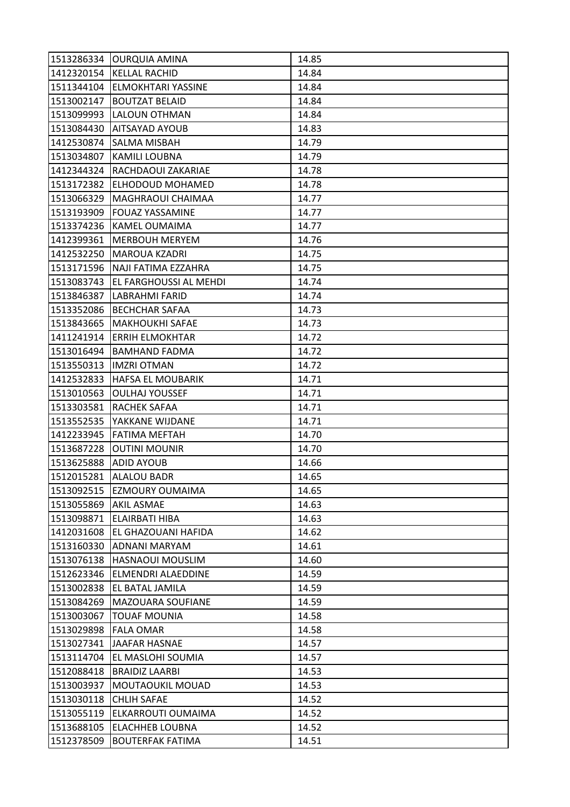| 1513286334           | <b>OURQUIA AMINA</b>           | 14.85 |
|----------------------|--------------------------------|-------|
|                      | 1412320154 KELLAL RACHID       | 14.84 |
| 1511344104           | <b>ELMOKHTARI YASSINE</b>      | 14.84 |
| 1513002147           | <b>BOUTZAT BELAID</b>          | 14.84 |
| 1513099993           | LALOUN OTHMAN                  | 14.84 |
| 1513084430           | AITSAYAD AYOUB                 | 14.83 |
| 1412530874           | <b>SALMA MISBAH</b>            | 14.79 |
| 1513034807           | <b>KAMILI LOUBNA</b>           | 14.79 |
| 1412344324           | RACHDAOUI ZAKARIAE             | 14.78 |
| 1513172382           | <b>ELHODOUD MOHAMED</b>        | 14.78 |
| 1513066329           | MAGHRAOUI CHAIMAA              | 14.77 |
| 1513193909           | <b>FOUAZ YASSAMINE</b>         | 14.77 |
| 1513374236           | IKAMEL OUMAIMA                 | 14.77 |
| 1412399361           | <b>MERBOUH MERYEM</b>          | 14.76 |
| 1412532250           | <b>MAROUA KZADRI</b>           | 14.75 |
|                      | 1513171596 NAJI FATIMA EZZAHRA | 14.75 |
| 1513083743           | <b>EL FARGHOUSSI AL MEHDI</b>  | 14.74 |
| 1513846387           | LABRAHMI FARID                 | 14.74 |
| 1513352086           | <b>BECHCHAR SAFAA</b>          | 14.73 |
| 1513843665           | <b>MAKHOUKHI SAFAE</b>         | 14.73 |
| 1411241914           | <b>ERRIH ELMOKHTAR</b>         | 14.72 |
| 1513016494           | <b>BAMHAND FADMA</b>           | 14.72 |
| 1513550313           | <b>IMZRI OTMAN</b>             | 14.72 |
| 1412532833           | <b>HAFSA EL MOUBARIK</b>       | 14.71 |
| 1513010563           | <b>OULHAJ YOUSSEF</b>          | 14.71 |
| 1513303581           | <b>RACHEK SAFAA</b>            | 14.71 |
| 1513552535           | YAKKANE WIJDANE                | 14.71 |
| 1412233945           | <b>FATIMA MEFTAH</b>           | 14.70 |
| 1513687228           | <b>OUTINI MOUNIR</b>           | 14.70 |
| 1513625888           | <b>ADID AYOUB</b>              | 14.66 |
| 1512015281           | <b>ALALOU BADR</b>             | 14.65 |
| 1513092515           | <b>EZMOURY OUMAIMA</b>         | 14.65 |
| 1513055869           | <b>AKIL ASMAE</b>              | 14.63 |
| 1513098871           | <b>ELAIRBATI HIBA</b>          | 14.63 |
| 1412031608           | EL GHAZOUANI HAFIDA            | 14.62 |
| 1513160330           | ADNANI MARYAM                  | 14.61 |
| 1513076138           | <b>HASNAOUI MOUSLIM</b>        | 14.60 |
| 1512623346           | <b>ELMENDRI ALAEDDINE</b>      | 14.59 |
| 1513002838           | EL BATAL JAMILA                | 14.59 |
| 1513084269           | MAZOUARA SOUFIANE              | 14.59 |
| 1513003067           | <b>TOUAF MOUNIA</b>            | 14.58 |
| 1513029898 FALA OMAR |                                | 14.58 |
| 1513027341           | <b>JAAFAR HASNAE</b>           | 14.57 |
| 1513114704           | EL MASLOHI SOUMIA              | 14.57 |
| 1512088418           | <b>BRAIDIZ LAARBI</b>          | 14.53 |
| 1513003937           | MOUTAOUKIL MOUAD               | 14.53 |
| 1513030118           | <b>CHLIH SAFAE</b>             | 14.52 |
| 1513055119           | ELKARROUTI OUMAIMA             | 14.52 |
| 1513688105           | <b>ELACHHEB LOUBNA</b>         | 14.52 |
| 1512378509           | <b>BOUTERFAK FATIMA</b>        | 14.51 |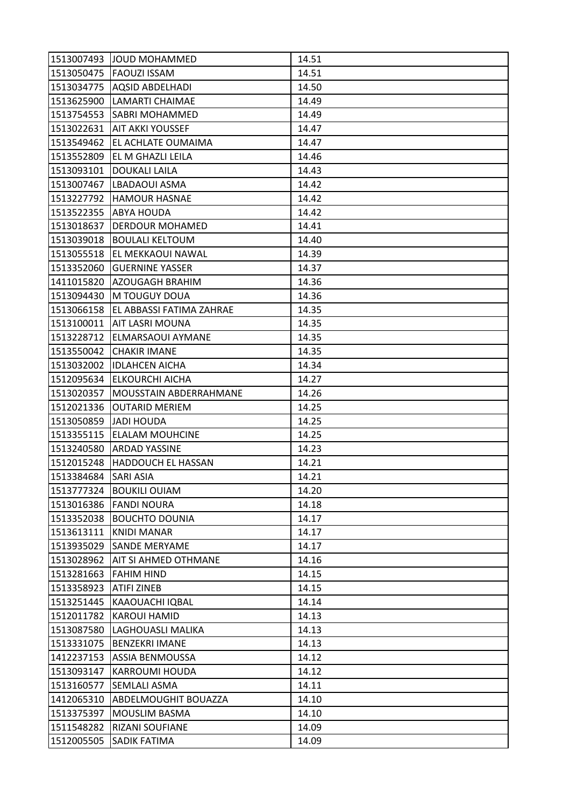|            | 1513007493 JJOUD MOHAMMED | 14.51 |
|------------|---------------------------|-------|
|            | 1513050475   FAOUZI ISSAM | 14.51 |
| 1513034775 | <b>AQSID ABDELHADI</b>    | 14.50 |
| 1513625900 | <b>LAMARTI CHAIMAE</b>    | 14.49 |
| 1513754553 | <b>SABRI MOHAMMED</b>     | 14.49 |
| 1513022631 | AIT AKKI YOUSSEF          | 14.47 |
| 1513549462 | EL ACHLATE OUMAIMA        | 14.47 |
| 1513552809 | EL M GHAZLI LEILA         | 14.46 |
| 1513093101 | <b>DOUKALI LAILA</b>      | 14.43 |
| 1513007467 | LBADAOUI ASMA             | 14.42 |
| 1513227792 | <b>HAMOUR HASNAE</b>      | 14.42 |
| 1513522355 | ABYA HOUDA                | 14.42 |
| 1513018637 | DERDOUR MOHAMED           | 14.41 |
| 1513039018 | <b>BOULALI KELTOUM</b>    | 14.40 |
| 1513055518 | EL MEKKAOUI NAWAL         | 14.39 |
| 1513352060 | <b>GUERNINE YASSER</b>    | 14.37 |
| 1411015820 | AZOUGAGH BRAHIM           | 14.36 |
| 1513094430 | M TOUGUY DOUA             | 14.36 |
| 1513066158 | EL ABBASSI FATIMA ZAHRAE  | 14.35 |
| 1513100011 | AIT LASRI MOUNA           | 14.35 |
| 1513228712 | ELMARSAOUI AYMANE         | 14.35 |
| 1513550042 | <b>CHAKIR IMANE</b>       | 14.35 |
| 1513032002 | <b>IDLAHCEN AICHA</b>     | 14.34 |
| 1512095634 | <b>ELKOURCHI AICHA</b>    | 14.27 |
| 1513020357 | MOUSSTAIN ABDERRAHMANE    | 14.26 |
| 1512021336 | <b>OUTARID MERIEM</b>     | 14.25 |
| 1513050859 | <b>JADI HOUDA</b>         | 14.25 |
| 1513355115 | <b>ELALAM MOUHCINE</b>    | 14.25 |
| 1513240580 | <b>ARDAD YASSINE</b>      | 14.23 |
| 1512015248 | <b>HADDOUCH EL HASSAN</b> | 14.21 |
| 1513384684 | <b>SARI ASIA</b>          | 14.21 |
|            | 1513777324 BOUKILI OUIAM  | 14.20 |
|            | 1513016386 FANDI NOURA    | 14.18 |
| 1513352038 | <b>BOUCHTO DOUNIA</b>     | 14.17 |
| 1513613111 | <b>KNIDI MANAR</b>        | 14.17 |
| 1513935029 | <b>SANDE MERYAME</b>      | 14.17 |
| 1513028962 | AIT SI AHMED OTHMANE      | 14.16 |
| 1513281663 | <b>FAHIM HIND</b>         | 14.15 |
| 1513358923 | <b>ATIFI ZINEB</b>        | 14.15 |
| 1513251445 | KAAOUACHI IQBAL           | 14.14 |
| 1512011782 | <b>KAROUI HAMID</b>       | 14.13 |
| 1513087580 | LAGHOUASLI MALIKA         | 14.13 |
| 1513331075 | <b>BENZEKRI IMANE</b>     | 14.13 |
| 1412237153 | ASSIA BENMOUSSA           | 14.12 |
| 1513093147 | <b>KARROUMI HOUDA</b>     | 14.12 |
| 1513160577 | SEMLALI ASMA              | 14.11 |
| 1412065310 | ABDELMOUGHIT BOUAZZA      | 14.10 |
| 1513375397 | MOUSLIM BASMA             | 14.10 |
| 1511548282 | RIZANI SOUFIANE           | 14.09 |
| 1512005505 | SADIK FATIMA              | 14.09 |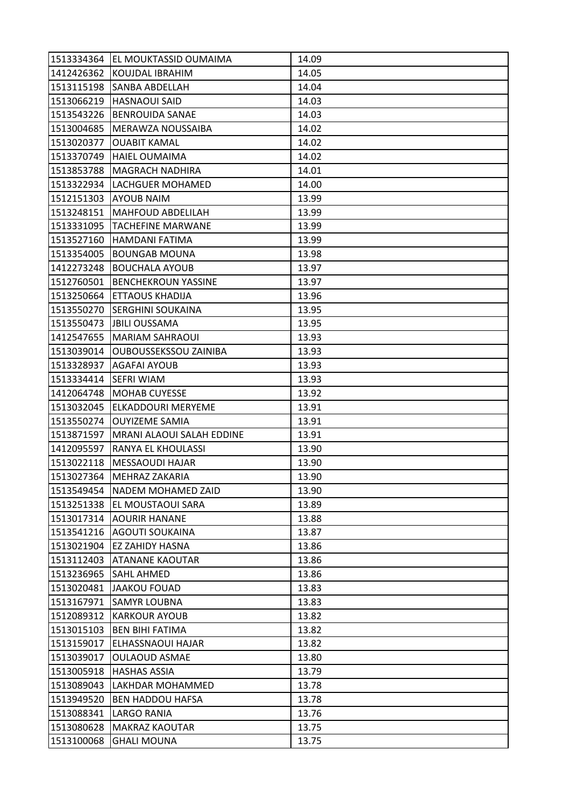|            | 1513334364 EL MOUKTASSID OUMAIMA | 14.09 |
|------------|----------------------------------|-------|
| 1412426362 | <b>KOUJDAL IBRAHIM</b>           | 14.05 |
| 1513115198 | SANBA ABDELLAH                   | 14.04 |
| 1513066219 | <b>HASNAOUI SAID</b>             | 14.03 |
| 1513543226 | <b>BENROUIDA SANAE</b>           | 14.03 |
| 1513004685 | MERAWZA NOUSSAIBA                | 14.02 |
| 1513020377 | <b>OUABIT KAMAL</b>              | 14.02 |
| 1513370749 | <b>HAIEL OUMAIMA</b>             | 14.02 |
| 1513853788 | MAGRACH NADHIRA                  | 14.01 |
| 1513322934 | LACHGUER MOHAMED                 | 14.00 |
| 1512151303 | <b>AYOUB NAIM</b>                | 13.99 |
| 1513248151 | <b>MAHFOUD ABDELILAH</b>         | 13.99 |
| 1513331095 | <b>TACHEFINE MARWANE</b>         | 13.99 |
| 1513527160 | <b>HAMDANI FATIMA</b>            | 13.99 |
| 1513354005 | <b>BOUNGAB MOUNA</b>             | 13.98 |
| 1412273248 | <b>BOUCHALA AYOUB</b>            | 13.97 |
| 1512760501 | <b>BENCHEKROUN YASSINE</b>       | 13.97 |
| 1513250664 | ETTAOUS KHADIJA                  | 13.96 |
| 1513550270 | <b>SERGHINI SOUKAINA</b>         | 13.95 |
| 1513550473 | <b>JBILI OUSSAMA</b>             | 13.95 |
| 1412547655 | <b>MARIAM SAHRAOUI</b>           | 13.93 |
| 1513039014 | <b>OUBOUSSEKSSOU ZAINIBA</b>     | 13.93 |
| 1513328937 | <b>AGAFAI AYOUB</b>              | 13.93 |
| 1513334414 | <b>SEFRI WIAM</b>                | 13.93 |
| 1412064748 | <b>MOHAB CUYESSE</b>             | 13.92 |
| 1513032045 | <b>ELKADDOURI MERYEME</b>        | 13.91 |
| 1513550274 | <b>OUYIZEME SAMIA</b>            | 13.91 |
| 1513871597 | MRANI ALAOUI SALAH EDDINE        | 13.91 |
| 1412095597 | RANYA EL KHOULASSI               | 13.90 |
| 1513022118 | <b>MESSAOUDI HAJAR</b>           | 13.90 |
| 1513027364 | MEHRAZ ZAKARIA                   | 13.90 |
|            | 1513549454 NADEM MOHAMED ZAID    | 13.90 |
|            | 1513251338 EL MOUSTAOUI SARA     | 13.89 |
| 1513017314 | <b>AOURIR HANANE</b>             | 13.88 |
| 1513541216 | <b>AGOUTI SOUKAINA</b>           | 13.87 |
| 1513021904 | <b>EZ ZAHIDY HASNA</b>           | 13.86 |
| 1513112403 | <b>ATANANE KAOUTAR</b>           | 13.86 |
| 1513236965 | <b>SAHL AHMED</b>                | 13.86 |
| 1513020481 | <b>JAAKOU FOUAD</b>              | 13.83 |
| 1513167971 | <b>SAMYR LOUBNA</b>              | 13.83 |
| 1512089312 | <b>KARKOUR AYOUB</b>             | 13.82 |
| 1513015103 | <b>BEN BIHI FATIMA</b>           | 13.82 |
| 1513159017 | ELHASSNAOUI HAJAR                | 13.82 |
| 1513039017 | <b>OULAOUD ASMAE</b>             | 13.80 |
| 1513005918 | <b>HASHAS ASSIA</b>              | 13.79 |
| 1513089043 | LAKHDAR MOHAMMED                 | 13.78 |
| 1513949520 | <b>BEN HADDOU HAFSA</b>          | 13.78 |
| 1513088341 | <b>LARGO RANIA</b>               | 13.76 |
| 1513080628 | <b>MAKRAZ KAOUTAR</b>            | 13.75 |
| 1513100068 | <b>GHALI MOUNA</b>               | 13.75 |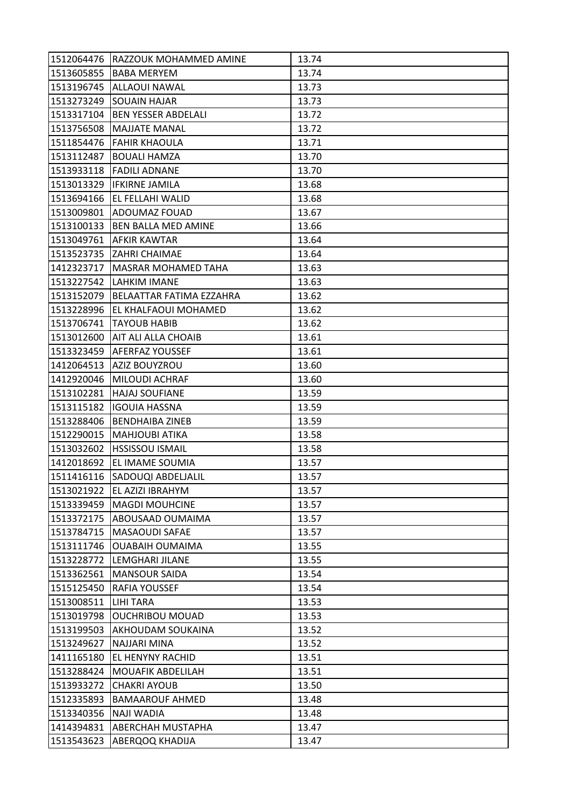|            | 1512064476   RAZZOUK MOHAMMED AMINE | 13.74 |
|------------|-------------------------------------|-------|
| 1513605855 | <b>BABA MERYEM</b>                  | 13.74 |
| 1513196745 | <b>ALLAOUI NAWAL</b>                | 13.73 |
| 1513273249 | <b>SOUAIN HAJAR</b>                 | 13.73 |
| 1513317104 | <b>BEN YESSER ABDELALI</b>          | 13.72 |
| 1513756508 | <b>MAJJATE MANAL</b>                | 13.72 |
|            | 1511854476 FAHIR KHAOULA            | 13.71 |
| 1513112487 | <b>BOUALI HAMZA</b>                 | 13.70 |
|            | 1513933118   FADILI ADNANE          | 13.70 |
|            | 1513013329  IFKIRNE JAMILA          | 13.68 |
|            | 1513694166 EL FELLAHI WALID         | 13.68 |
| 1513009801 | ADOUMAZ FOUAD                       | 13.67 |
| 1513100133 | BEN BALLA MED AMINE                 | 13.66 |
|            | 1513049761 AFKIR KAWTAR             | 13.64 |
| 1513523735 | <b>ZAHRI CHAIMAE</b>                | 13.64 |
| 1412323717 | <b>MASRAR MOHAMED TAHA</b>          | 13.63 |
| 1513227542 | LAHKIM IMANE                        | 13.63 |
| 1513152079 | BELAATTAR FATIMA EZZAHRA            | 13.62 |
| 1513228996 | EL KHALFAOUI MOHAMED                | 13.62 |
| 1513706741 | <b>TAYOUB HABIB</b>                 | 13.62 |
| 1513012600 | AIT ALI ALLA CHOAIB                 | 13.61 |
| 1513323459 | AFERFAZ YOUSSEF                     | 13.61 |
| 1412064513 | AZIZ BOUYZROU                       | 13.60 |
| 1412920046 | <b>MILOUDI ACHRAF</b>               | 13.60 |
| 1513102281 | <b>HAJAJ SOUFIANE</b>               | 13.59 |
|            | 1513115182  IGOUIA HASSNA           | 13.59 |
| 1513288406 | <b>BENDHAIBA ZINEB</b>              | 13.59 |
| 1512290015 | <b>MAHJOUBI ATIKA</b>               | 13.58 |
| 1513032602 | <b>HSSISSOU ISMAIL</b>              | 13.58 |
| 1412018692 | EL IMAME SOUMIA                     | 13.57 |
| 1511416116 | SADOUQI ABDELJALIL                  | 13.57 |
|            | 1513021922 EL AZIZI IBRAHYM         | 13.57 |
|            | 1513339459   MAGDI MOUHCINE         | 13.57 |
| 1513372175 | ABOUSAAD OUMAIMA                    | 13.57 |
| 1513784715 | <b>MASAOUDI SAFAE</b>               | 13.57 |
| 1513111746 | <b>OUABAIH OUMAIMA</b>              | 13.55 |
| 1513228772 | <b>LEMGHARI JILANE</b>              | 13.55 |
| 1513362561 | <b>MANSOUR SAIDA</b>                | 13.54 |
| 1515125450 | RAFIA YOUSSEF                       | 13.54 |
| 1513008511 | <b>LIHI TARA</b>                    | 13.53 |
| 1513019798 | <b>OUCHRIBOU MOUAD</b>              | 13.53 |
| 1513199503 | AKHOUDAM SOUKAINA                   | 13.52 |
| 1513249627 | <b>NAJJARI MINA</b>                 | 13.52 |
| 1411165180 | EL HENYNY RACHID                    | 13.51 |
| 1513288424 | <b>MOUAFIK ABDELILAH</b>            | 13.51 |
| 1513933272 | <b>CHAKRI AYOUB</b>                 | 13.50 |
| 1512335893 | <b>BAMAAROUF AHMED</b>              | 13.48 |
| 1513340356 | <b>NAJI WADIA</b>                   | 13.48 |
| 1414394831 | <b>ABERCHAH MUSTAPHA</b>            | 13.47 |
| 1513543623 | ABERQOQ KHADIJA                     | 13.47 |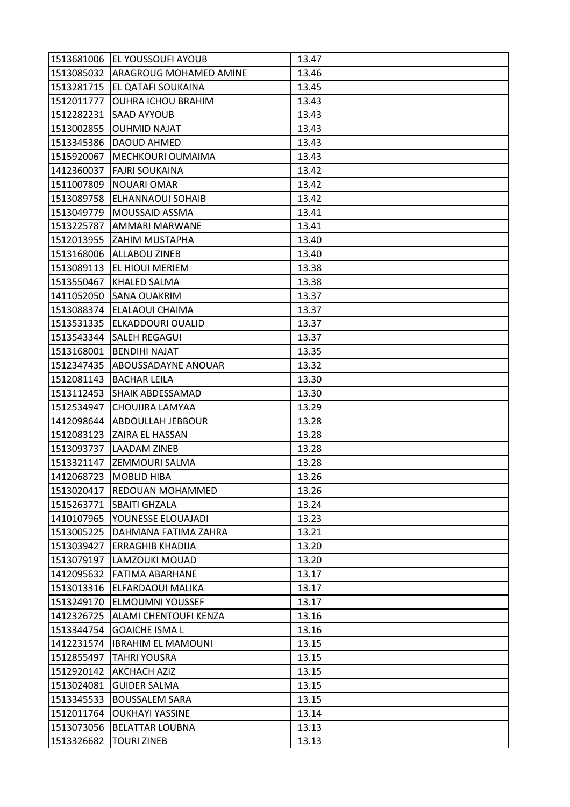|            | 1513681006 EL YOUSSOUFI AYOUB | 13.47 |
|------------|-------------------------------|-------|
| 1513085032 | <b>ARAGROUG MOHAMED AMINE</b> | 13.46 |
| 1513281715 | EL QATAFI SOUKAINA            | 13.45 |
| 1512011777 | <b>OUHRA ICHOU BRAHIM</b>     | 13.43 |
| 1512282231 | <b>SAAD AYYOUB</b>            | 13.43 |
| 1513002855 | <b>OUHMID NAJAT</b>           | 13.43 |
| 1513345386 | <b>DAOUD AHMED</b>            | 13.43 |
| 1515920067 | MECHKOURI OUMAIMA             | 13.43 |
| 1412360037 | <b>FAJRI SOUKAINA</b>         | 13.42 |
| 1511007809 | <b>NOUARI OMAR</b>            | 13.42 |
| 1513089758 | <b>ELHANNAOUI SOHAIB</b>      | 13.42 |
| 1513049779 | MOUSSAID ASSMA                | 13.41 |
| 1513225787 | AMMARI MARWANE                | 13.41 |
| 1512013955 | <b>ZAHIM MUSTAPHA</b>         | 13.40 |
| 1513168006 | <b>ALLABOU ZINEB</b>          | 13.40 |
| 1513089113 | <b>EL HIOUI MERIEM</b>        | 13.38 |
| 1513550467 | <b>KHALED SALMA</b>           | 13.38 |
| 1411052050 | <b>SANA OUAKRIM</b>           | 13.37 |
| 1513088374 | <b>ELALAOUI CHAIMA</b>        | 13.37 |
| 1513531335 | <b>ELKADDOURI OUALID</b>      | 13.37 |
| 1513543344 | <b>SALEH REGAGUI</b>          | 13.37 |
| 1513168001 | <b>BENDIHI NAJAT</b>          | 13.35 |
| 1512347435 | ABOUSSADAYNE ANOUAR           | 13.32 |
| 1512081143 | <b>BACHAR LEILA</b>           | 13.30 |
| 1513112453 | <b>SHAIK ABDESSAMAD</b>       | 13.30 |
| 1512534947 | CHOUIJRA LAMYAA               | 13.29 |
| 1412098644 | ABDOULLAH JEBBOUR             | 13.28 |
| 1512083123 | ZAIRA EL HASSAN               | 13.28 |
| 1513093737 | <b>LAADAM ZINEB</b>           | 13.28 |
| 1513321147 | <b>ZEMMOURI SALMA</b>         | 13.28 |
| 1412068723 | <b>MOBLID HIBA</b>            | 13.26 |
|            | 1513020417 REDOUAN MOHAMMED   | 13.26 |
| 1515263771 | <b>SBAITI GHZALA</b>          | 13.24 |
| 1410107965 | YOUNESSE ELOUAJADI            | 13.23 |
| 1513005225 | DAHMANA FATIMA ZAHRA          | 13.21 |
| 1513039427 | <b>ERRAGHIB KHADIJA</b>       | 13.20 |
| 1513079197 | <b>LAMZOUKI MOUAD</b>         | 13.20 |
|            | 1412095632 FATIMA ABARHANE    | 13.17 |
| 1513013316 | ELFARDAOUI MALIKA             | 13.17 |
| 1513249170 | <b>ELMOUMNI YOUSSEF</b>       | 13.17 |
| 1412326725 | ALAMI CHENTOUFI KENZA         | 13.16 |
| 1513344754 | <b>GOAICHE ISMA L</b>         | 13.16 |
| 1412231574 | <b>IBRAHIM EL MAMOUNI</b>     | 13.15 |
| 1512855497 | <b>TAHRI YOUSRA</b>           | 13.15 |
| 1512920142 | <b>AKCHACH AZIZ</b>           | 13.15 |
| 1513024081 | <b>GUIDER SALMA</b>           | 13.15 |
| 1513345533 | <b>BOUSSALEM SARA</b>         | 13.15 |
| 1512011764 | <b>OUKHAYI YASSINE</b>        | 13.14 |
| 1513073056 | <b>BELATTAR LOUBNA</b>        | 13.13 |
| 1513326682 | <b>TOURI ZINEB</b>            | 13.13 |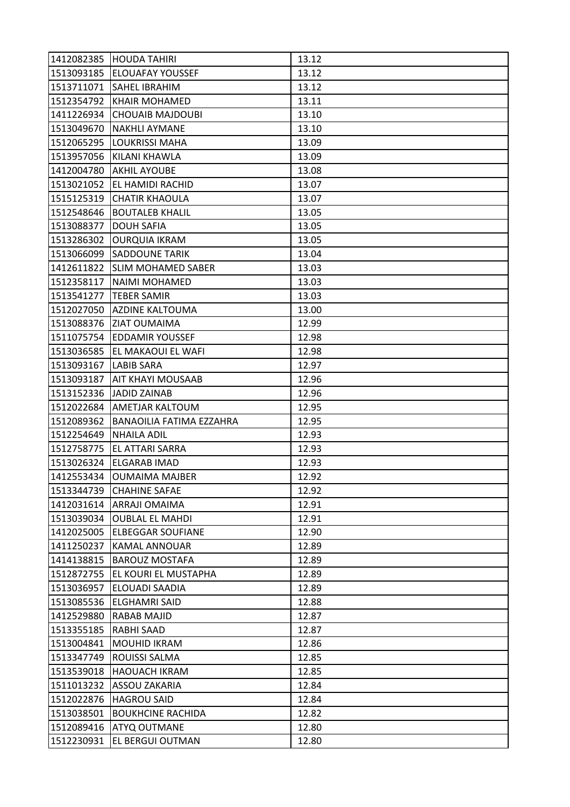|            | 1412082385 HOUDA TAHIRI     | 13.12 |
|------------|-----------------------------|-------|
|            | 1513093185 ELOUAFAY YOUSSEF | 13.12 |
| 1513711071 | <b>SAHEL IBRAHIM</b>        | 13.12 |
| 1512354792 | <b>KHAIR MOHAMED</b>        | 13.11 |
| 1411226934 | <b>CHOUAIB MAJDOUBI</b>     | 13.10 |
| 1513049670 | <b>NAKHLI AYMANE</b>        | 13.10 |
| 1512065295 | <b>LOUKRISSI MAHA</b>       | 13.09 |
| 1513957056 | KILANI KHAWLA               | 13.09 |
| 1412004780 | <b>AKHIL AYOUBE</b>         | 13.08 |
| 1513021052 | EL HAMIDI RACHID            | 13.07 |
| 1515125319 | <b>CHATIR KHAOULA</b>       | 13.07 |
| 1512548646 | <b>BOUTALEB KHALIL</b>      | 13.05 |
| 1513088377 | <b>DOUH SAFIA</b>           | 13.05 |
| 1513286302 | <b>OURQUIA IKRAM</b>        | 13.05 |
| 1513066099 | <b>SADDOUNE TARIK</b>       | 13.04 |
| 1412611822 | <b>SLIM MOHAMED SABER</b>   | 13.03 |
| 1512358117 | <b>NAIMI MOHAMED</b>        | 13.03 |
| 1513541277 | <b>TEBER SAMIR</b>          | 13.03 |
| 1512027050 | <b>AZDINE KALTOUMA</b>      | 13.00 |
| 1513088376 | <b>ZIAT OUMAIMA</b>         | 12.99 |
| 1511075754 | <b>EDDAMIR YOUSSEF</b>      | 12.98 |
| 1513036585 | EL MAKAOUI EL WAFI          | 12.98 |
| 1513093167 | <b>LABIB SARA</b>           | 12.97 |
| 1513093187 | AIT KHAYI MOUSAAB           | 12.96 |
| 1513152336 | JADID ZAINAB                | 12.96 |
| 1512022684 | AMETJAR KALTOUM             | 12.95 |
| 1512089362 | BANAOILIA FATIMA EZZAHRA    | 12.95 |
| 1512254649 | <b>NHAILA ADIL</b>          | 12.93 |
| 1512758775 | EL ATTARI SARRA             | 12.93 |
| 1513026324 | <b>ELGARAB IMAD</b>         | 12.93 |
| 1412553434 | <b>OUMAIMA MAJBER</b>       | 12.92 |
|            | 1513344739 CHAHINE SAFAE    | 12.92 |
| 1412031614 | <b>ARRAJI OMAIMA</b>        | 12.91 |
| 1513039034 | <b>OUBLAL EL MAHDI</b>      | 12.91 |
| 1412025005 | <b>ELBEGGAR SOUFIANE</b>    | 12.90 |
| 1411250237 | <b>KAMAL ANNOUAR</b>        | 12.89 |
| 1414138815 | <b>BAROUZ MOSTAFA</b>       | 12.89 |
| 1512872755 | EL KOURI EL MUSTAPHA        | 12.89 |
| 1513036957 | ELOUADI SAADIA              | 12.89 |
| 1513085536 | <b>ELGHAMRI SAID</b>        | 12.88 |
| 1412529880 | <b>RABAB MAJID</b>          | 12.87 |
| 1513355185 | <b>RABHI SAAD</b>           | 12.87 |
| 1513004841 | <b>MOUHID IKRAM</b>         | 12.86 |
| 1513347749 | ROUISSI SALMA               | 12.85 |
| 1513539018 | <b>HAOUACH IKRAM</b>        | 12.85 |
| 1511013232 | <b>ASSOU ZAKARIA</b>        | 12.84 |
| 1512022876 | <b>HAGROU SAID</b>          | 12.84 |
| 1513038501 | <b>BOUKHCINE RACHIDA</b>    | 12.82 |
| 1512089416 | ATYQ OUTMANE                | 12.80 |
|            |                             |       |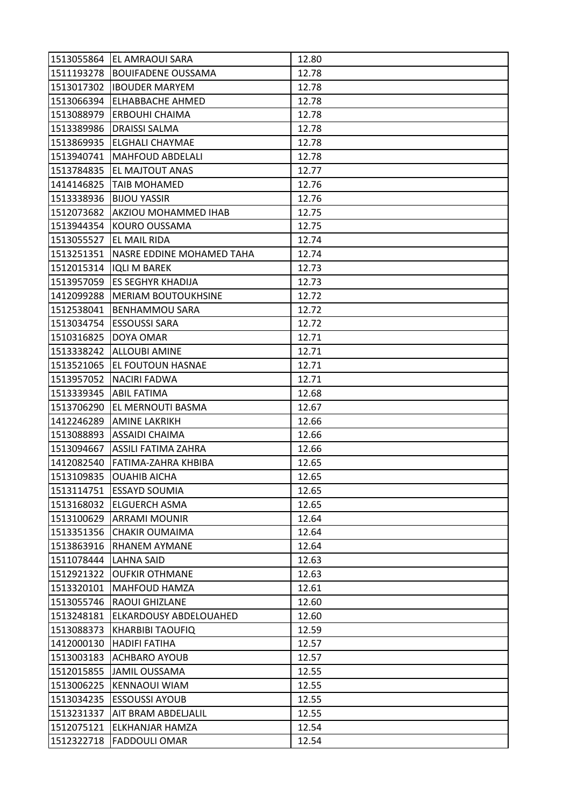|            | 1513055864 EL AMRAOUI SARA     | 12.80 |
|------------|--------------------------------|-------|
|            | 1511193278  BOUIFADENE OUSSAMA | 12.78 |
| 1513017302 | <b>IBOUDER MARYEM</b>          | 12.78 |
| 1513066394 | <b>ELHABBACHE AHMED</b>        | 12.78 |
| 1513088979 | <b>ERBOUHI CHAIMA</b>          | 12.78 |
| 1513389986 | <b>DRAISSI SALMA</b>           | 12.78 |
| 1513869935 | <b>ELGHALI CHAYMAE</b>         | 12.78 |
| 1513940741 | <b>MAHFOUD ABDELALI</b>        | 12.78 |
| 1513784835 | <b>EL MAJTOUT ANAS</b>         | 12.77 |
| 1414146825 | <b>TAIB MOHAMED</b>            | 12.76 |
| 1513338936 | <b>BIJOU YASSIR</b>            | 12.76 |
| 1512073682 | AKZIOU MOHAMMED IHAB           | 12.75 |
| 1513944354 | KOURO OUSSAMA                  | 12.75 |
| 1513055527 | <b>EL MAIL RIDA</b>            | 12.74 |
| 1513251351 | NASRE EDDINE MOHAMED TAHA      | 12.74 |
| 1512015314 | <b>IQLI M BAREK</b>            | 12.73 |
| 1513957059 | <b>ES SEGHYR KHADIJA</b>       | 12.73 |
| 1412099288 | <b>MERIAM BOUTOUKHSINE</b>     | 12.72 |
| 1512538041 | <b>BENHAMMOU SARA</b>          | 12.72 |
| 1513034754 | <b>ESSOUSSI SARA</b>           | 12.72 |
| 1510316825 | DOYA OMAR                      | 12.71 |
| 1513338242 | <b>ALLOUBI AMINE</b>           | 12.71 |
| 1513521065 | <b>EL FOUTOUN HASNAE</b>       | 12.71 |
| 1513957052 | <b>NACIRI FADWA</b>            | 12.71 |
| 1513339345 | <b>ABIL FATIMA</b>             | 12.68 |
| 1513706290 | EL MERNOUTI BASMA              | 12.67 |
| 1412246289 | <b>AMINE LAKRIKH</b>           | 12.66 |
| 1513088893 | <b>ASSAIDI CHAIMA</b>          | 12.66 |
| 1513094667 | ASSILI FATIMA ZAHRA            | 12.66 |
| 1412082540 | FATIMA-ZAHRA KHBIBA            | 12.65 |
| 1513109835 | <b>OUAHIB AICHA</b>            | 12.65 |
|            | 1513114751 ESSAYD SOUMIA       | 12.65 |
|            | 1513168032 ELGUERCH ASMA       | 12.65 |
| 1513100629 | <b>ARRAMI MOUNIR</b>           | 12.64 |
| 1513351356 | <b>CHAKIR OUMAIMA</b>          | 12.64 |
| 1513863916 | RHANEM AYMANE                  | 12.64 |
| 1511078444 | <b>LAHNA SAID</b>              | 12.63 |
| 1512921322 | <b>OUFKIR OTHMANE</b>          | 12.63 |
| 1513320101 | MAHFOUD HAMZA                  | 12.61 |
| 1513055746 | RAOUI GHIZLANE                 | 12.60 |
| 1513248181 | ELKARDOUSY ABDELOUAHED         | 12.60 |
| 1513088373 | <b>KHARBIBI TAOUFIQ</b>        | 12.59 |
| 1412000130 | <b>HADIFI FATIHA</b>           | 12.57 |
| 1513003183 | <b>ACHBARO AYOUB</b>           | 12.57 |
| 1512015855 | <b>JAMIL OUSSAMA</b>           | 12.55 |
| 1513006225 | KENNAOUI WIAM                  | 12.55 |
| 1513034235 | <b>ESSOUSSI AYOUB</b>          | 12.55 |
| 1513231337 | AIT BRAM ABDELJALIL            | 12.55 |
| 1512075121 | ELKHANJAR HAMZA                | 12.54 |
|            | 1512322718   FADDOULI OMAR     | 12.54 |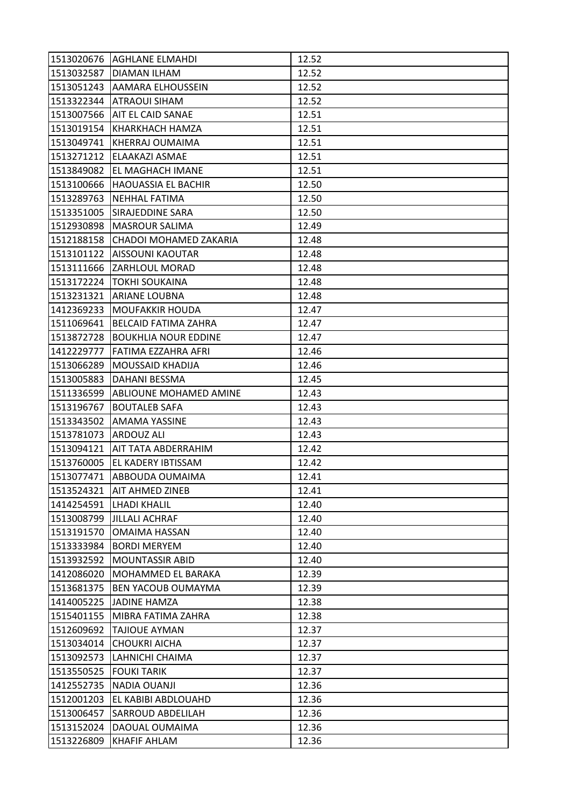|            | 1513020676   AGHLANE ELMAHDI  | 12.52 |
|------------|-------------------------------|-------|
| 1513032587 | <b>DIAMAN ILHAM</b>           | 12.52 |
| 1513051243 | AAMARA ELHOUSSEIN             | 12.52 |
| 1513322344 | ATRAOUI SIHAM                 | 12.52 |
| 1513007566 | AIT EL CAID SANAE             | 12.51 |
| 1513019154 | KHARKHACH HAMZA               | 12.51 |
| 1513049741 | <b>KHERRAJ OUMAIMA</b>        | 12.51 |
| 1513271212 | ELAAKAZI ASMAE                | 12.51 |
| 1513849082 | EL MAGHACH IMANE              | 12.51 |
| 1513100666 | <b>HAOUASSIA EL BACHIR</b>    | 12.50 |
| 1513289763 | NEHHAL FATIMA                 | 12.50 |
| 1513351005 | SIRAJEDDINE SARA              | 12.50 |
| 1512930898 | <b>MASROUR SALIMA</b>         | 12.49 |
| 1512188158 | <b>CHADOI MOHAMED ZAKARIA</b> | 12.48 |
| 1513101122 | AISSOUNI KAOUTAR              | 12.48 |
| 1513111666 | <b>ZARHLOUL MORAD</b>         | 12.48 |
| 1513172224 | TOKHI SOUKAINA                | 12.48 |
| 1513231321 | <b>ARIANE LOUBNA</b>          | 12.48 |
| 1412369233 | <b>MOUFAKKIR HOUDA</b>        | 12.47 |
| 1511069641 | BELCAID FATIMA ZAHRA          | 12.47 |
| 1513872728 | <b>BOUKHLIA NOUR EDDINE</b>   | 12.47 |
| 1412229777 | FATIMA EZZAHRA AFRI           | 12.46 |
| 1513066289 | MOUSSAID KHADIJA              | 12.46 |
| 1513005883 | DAHANI BESSMA                 | 12.45 |
| 1511336599 | ABLIOUNE MOHAMED AMINE        | 12.43 |
| 1513196767 | <b>BOUTALEB SAFA</b>          | 12.43 |
| 1513343502 | AMAMA YASSINE                 | 12.43 |
| 1513781073 | ARDOUZ ALI                    | 12.43 |
| 1513094121 | AIT TATA ABDERRAHIM           | 12.42 |
| 1513760005 | EL KADERY IBTISSAM            | 12.42 |
| 1513077471 | ABBOUDA OUMAIMA               | 12.41 |
|            | 1513524321   AIT AHMED ZINEB  | 12.41 |
|            | 1414254591 LHADI KHALIL       | 12.40 |
| 1513008799 | <b>JILLALI ACHRAF</b>         | 12.40 |
| 1513191570 | <b>OMAIMA HASSAN</b>          | 12.40 |
| 1513333984 | <b>BORDI MERYEM</b>           | 12.40 |
| 1513932592 | <b>MOUNTASSIR ABID</b>        | 12.40 |
| 1412086020 | MOHAMMED EL BARAKA            | 12.39 |
| 1513681375 | BEN YACOUB OUMAYMA            | 12.39 |
| 1414005225 | <b>JADINE HAMZA</b>           | 12.38 |
| 1515401155 | MIBRA FATIMA ZAHRA            | 12.38 |
| 1512609692 | <b>TAJIOUE AYMAN</b>          | 12.37 |
| 1513034014 | <b>CHOUKRI AICHA</b>          | 12.37 |
| 1513092573 | LAHNICHI CHAIMA               | 12.37 |
| 1513550525 | <b>FOUKI TARIK</b>            | 12.37 |
| 1412552735 | NADIA OUANJI                  | 12.36 |
| 1512001203 | EL KABIBI ABDLOUAHD           | 12.36 |
| 1513006457 | SARROUD ABDELILAH             | 12.36 |
| 1513152024 | DAOUAL OUMAIMA                | 12.36 |
| 1513226809 | <b>KHAFIF AHLAM</b>           | 12.36 |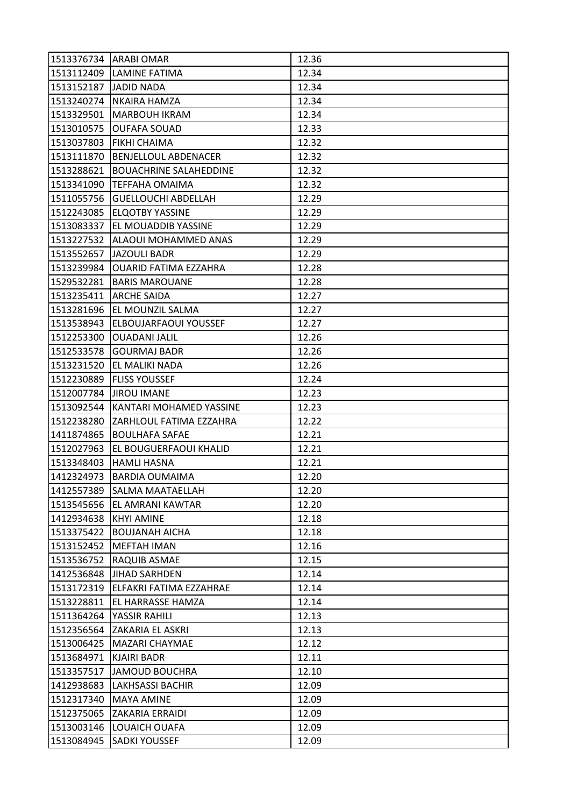| 1513376734   ARABI OMAR |                               | 12.36 |
|-------------------------|-------------------------------|-------|
| 1513112409              | <b>LAMINE FATIMA</b>          | 12.34 |
| 1513152187              | <b>JADID NADA</b>             | 12.34 |
| 1513240274              | <b>NKAIRA HAMZA</b>           | 12.34 |
| 1513329501              | <b>MARBOUH IKRAM</b>          | 12.34 |
| 1513010575              | <b>OUFAFA SOUAD</b>           | 12.33 |
| 1513037803              | <b>FIKHI CHAIMA</b>           | 12.32 |
| 1513111870              | <b>BENJELLOUL ABDENACER</b>   | 12.32 |
| 1513288621              | <b>BOUACHRINE SALAHEDDINE</b> | 12.32 |
| 1513341090              | TEFFAHA OMAIMA                | 12.32 |
| 1511055756              | <b>GUELLOUCHI ABDELLAH</b>    | 12.29 |
| 1512243085              | <b>ELQOTBY YASSINE</b>        | 12.29 |
| 1513083337              | EL MOUADDIB YASSINE           | 12.29 |
| 1513227532              | ALAOUI MOHAMMED ANAS          | 12.29 |
| 1513552657              | <b>JAZOULI BADR</b>           | 12.29 |
| 1513239984              | <b>OUARID FATIMA EZZAHRA</b>  | 12.28 |
| 1529532281              | <b>BARIS MAROUANE</b>         | 12.28 |
| 1513235411              | <b>ARCHE SAIDA</b>            | 12.27 |
| 1513281696              | EL MOUNZIL SALMA              | 12.27 |
| 1513538943              | ELBOUJARFAOUI YOUSSEF         | 12.27 |
| 1512253300              | <b>OUADANI JALIL</b>          | 12.26 |
| 1512533578              | <b>GOURMAJ BADR</b>           | 12.26 |
| 1513231520              | EL MALIKI NADA                | 12.26 |
| 1512230889              | <b>FLISS YOUSSEF</b>          | 12.24 |
| 1512007784              | <b>JIROU IMANE</b>            | 12.23 |
| 1513092544              | KANTARI MOHAMED YASSINE       | 12.23 |
| 1512238280              | ZARHLOUL FATIMA EZZAHRA       | 12.22 |
| 1411874865              | <b>BOULHAFA SAFAE</b>         | 12.21 |
| 1512027963              | EL BOUGUERFAOUI KHALID        | 12.21 |
| 1513348403              | <b>HAMLI HASNA</b>            | 12.21 |
| 1412324973              | <b>BARDIA OUMAIMA</b>         | 12.20 |
|                         | 1412557389 SALMA MAATAELLAH   | 12.20 |
|                         | 1513545656 EL AMRANI KAWTAR   | 12.20 |
| 1412934638              | <b>KHYI AMINE</b>             | 12.18 |
| 1513375422              | <b>BOUJANAH AICHA</b>         | 12.18 |
| 1513152452              | <b>MEFTAH IMAN</b>            | 12.16 |
| 1513536752              | RAQUIB ASMAE                  | 12.15 |
| 1412536848              | <b>JIHAD SARHDEN</b>          | 12.14 |
| 1513172319              | ELFAKRI FATIMA EZZAHRAE       | 12.14 |
| 1513228811              | EL HARRASSE HAMZA             | 12.14 |
| 1511364264              | YASSIR RAHILI                 | 12.13 |
|                         | 1512356564 ZAKARIA EL ASKRI   | 12.13 |
| 1513006425              | <b>MAZARI CHAYMAE</b>         | 12.12 |
| 1513684971              | <b>KJAIRI BADR</b>            | 12.11 |
| 1513357517              | <b>JAMOUD BOUCHRA</b>         | 12.10 |
| 1412938683              | <b>LAKHSASSI BACHIR</b>       | 12.09 |
| 1512317340              | <b>MAYA AMINE</b>             | 12.09 |
| 1512375065              | <b>ZAKARIA ERRAIDI</b>        | 12.09 |
| 1513003146              | LOUAICH OUAFA                 | 12.09 |
| 1513084945              | <b>SADKI YOUSSEF</b>          | 12.09 |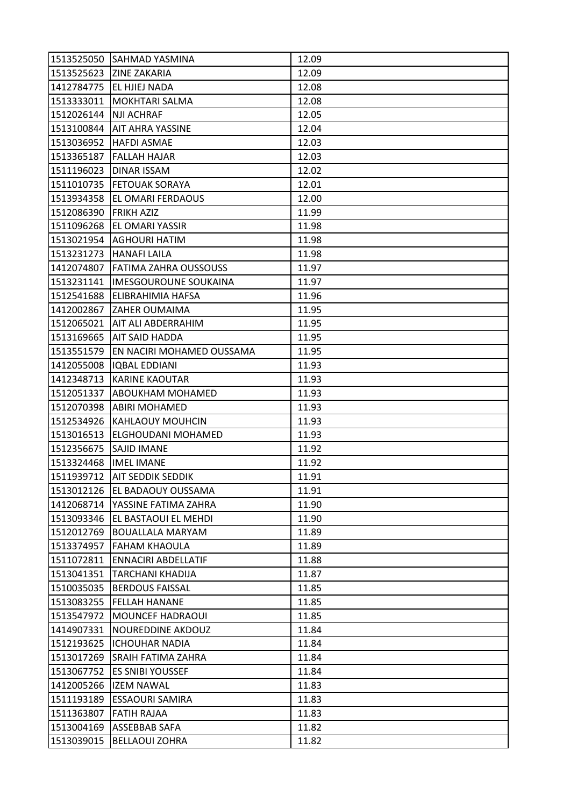|            | 1513525050 SAHMAD YASMINA         | 12.09 |
|------------|-----------------------------------|-------|
|            | 1513525623 ZINE ZAKARIA           | 12.09 |
| 1412784775 | EL HJIEJ NADA                     | 12.08 |
| 1513333011 | <b>MOKHTARI SALMA</b>             | 12.08 |
| 1512026144 | <b>NJI ACHRAF</b>                 | 12.05 |
| 1513100844 | <b>AIT AHRA YASSINE</b>           | 12.04 |
| 1513036952 | <b>HAFDI ASMAE</b>                | 12.03 |
| 1513365187 | <b>FALLAH HAJAR</b>               | 12.03 |
| 1511196023 | <b>DINAR ISSAM</b>                | 12.02 |
| 1511010735 | <b>FETOUAK SORAYA</b>             | 12.01 |
| 1513934358 | EL OMARI FERDAOUS                 | 12.00 |
| 1512086390 | <b>FRIKH AZIZ</b>                 | 11.99 |
| 1511096268 | EL OMARI YASSIR                   | 11.98 |
| 1513021954 | <b>AGHOURI HATIM</b>              | 11.98 |
| 1513231273 | <b>HANAFI LAILA</b>               | 11.98 |
| 1412074807 | <b>FATIMA ZAHRA OUSSOUSS</b>      | 11.97 |
| 1513231141 | <b>IMESGOUROUNE SOUKAINA</b>      | 11.97 |
| 1512541688 | ELIBRAHIMIA HAFSA                 | 11.96 |
| 1412002867 | <b>ZAHER OUMAIMA</b>              | 11.95 |
| 1512065021 | AIT ALI ABDERRAHIM                | 11.95 |
| 1513169665 | AIT SAID HADDA                    | 11.95 |
| 1513551579 | EN NACIRI MOHAMED OUSSAMA         | 11.95 |
| 1412055008 | <b>IQBAL EDDIANI</b>              | 11.93 |
| 1412348713 | <b>KARINE KAOUTAR</b>             | 11.93 |
| 1512051337 | ABOUKHAM MOHAMED                  | 11.93 |
| 1512070398 | <b>ABIRI MOHAMED</b>              | 11.93 |
| 1512534926 | <b>KAHLAOUY MOUHCIN</b>           | 11.93 |
| 1513016513 | ELGHOUDANI MOHAMED                | 11.93 |
| 1512356675 | SAJID IMANE                       | 11.92 |
| 1513324468 | <b>IMEL IMANE</b>                 | 11.92 |
| 1511939712 | AIT SEDDIK SEDDIK                 | 11.91 |
|            | 1513012126 EL BADAOUY OUSSAMA     | 11.91 |
|            | 1412068714   YASSINE FATIMA ZAHRA | 11.90 |
| 1513093346 | EL BASTAOUI EL MEHDI              | 11.90 |
| 1512012769 | <b>BOUALLALA MARYAM</b>           | 11.89 |
| 1513374957 | FAHAM KHAOULA                     | 11.89 |
| 1511072811 | <b>ENNACIRI ABDELLATIF</b>        | 11.88 |
| 1513041351 | <b>TARCHANI KHADIJA</b>           | 11.87 |
| 1510035035 | <b>BERDOUS FAISSAL</b>            | 11.85 |
| 1513083255 | <b>FELLAH HANANE</b>              | 11.85 |
| 1513547972 | MOUNCEF HADRAOUI                  | 11.85 |
| 1414907331 | <b>NOUREDDINE AKDOUZ</b>          | 11.84 |
|            | 1512193625  ICHOUHAR NADIA        | 11.84 |
| 1513017269 | <b>SRAIH FATIMA ZAHRA</b>         | 11.84 |
| 1513067752 | <b>ES SNIBI YOUSSEF</b>           | 11.84 |
| 1412005266 | <b>IZEM NAWAL</b>                 | 11.83 |
| 1511193189 | <b>ESSAOURI SAMIRA</b>            | 11.83 |
| 1511363807 | <b>FATIH RAJAA</b>                | 11.83 |
| 1513004169 | ASSEBBAB SAFA                     | 11.82 |
| 1513039015 | <b>BELLAOUI ZOHRA</b>             | 11.82 |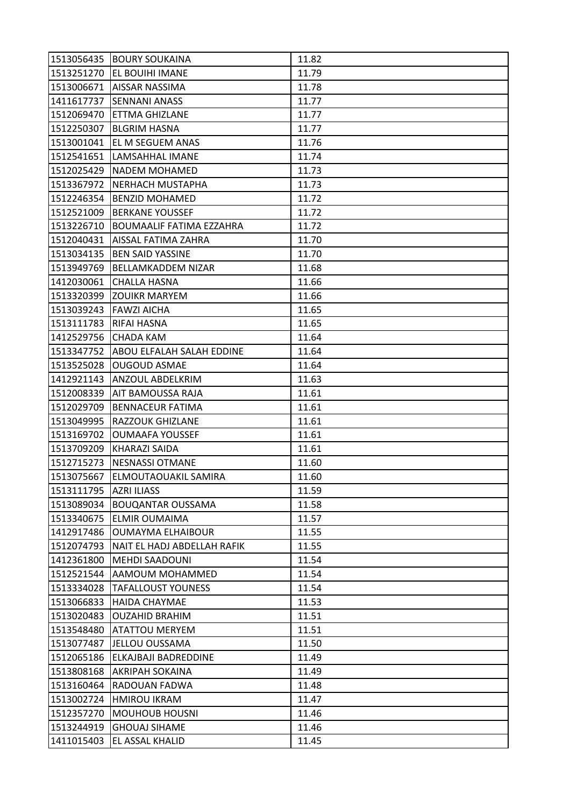|                        | 1513056435 BOURY SOUKAINA       | 11.82 |
|------------------------|---------------------------------|-------|
|                        | 1513251270 EL BOUIHI IMANE      | 11.79 |
| 1513006671             | AISSAR NASSIMA                  | 11.78 |
| 1411617737             | <b>SENNANI ANASS</b>            | 11.77 |
| 1512069470             | ETTMA GHIZLANE                  | 11.77 |
| 1512250307             | <b>BLGRIM HASNA</b>             | 11.77 |
| 1513001041             | EL M SEGUEM ANAS                | 11.76 |
| 1512541651             | LAMSAHHAL IMANE                 | 11.74 |
| 1512025429             | <b>NADEM MOHAMED</b>            | 11.73 |
| 1513367972             | NERHACH MUSTAPHA                | 11.73 |
| 1512246354             | <b>BENZID MOHAMED</b>           | 11.72 |
| 1512521009             | <b>BERKANE YOUSSEF</b>          | 11.72 |
| 1513226710             | <b>BOUMAALIF FATIMA EZZAHRA</b> | 11.72 |
| 1512040431             | <b>AISSAL FATIMA ZAHRA</b>      | 11.70 |
| 1513034135             | <b>BEN SAID YASSINE</b>         | 11.70 |
| 1513949769             | <b>BELLAMKADDEM NIZAR</b>       | 11.68 |
| 1412030061             | <b>CHALLA HASNA</b>             | 11.66 |
| 1513320399             | <b>ZOUIKR MARYEM</b>            | 11.66 |
| 1513039243             | <b>FAWZI AICHA</b>              | 11.65 |
| 1513111783             | <b>RIFAI HASNA</b>              | 11.65 |
| 1412529756             | <b>CHADA KAM</b>                | 11.64 |
| 1513347752             | ABOU ELFALAH SALAH EDDINE       | 11.64 |
| 1513525028             | <b>OUGOUD ASMAE</b>             | 11.64 |
| 1412921143             | ANZOUL ABDELKRIM                | 11.63 |
| 1512008339             | AIT BAMOUSSA RAJA               | 11.61 |
| 1512029709             | <b>BENNACEUR FATIMA</b>         | 11.61 |
| 1513049995             | RAZZOUK GHIZLANE                | 11.61 |
| 1513169702             | <b>OUMAAFA YOUSSEF</b>          | 11.61 |
| 1513709209             | <b>KHARAZI SAIDA</b>            | 11.61 |
| 1512715273             | <b>NESNASSI OTMANE</b>          | 11.60 |
| 1513075667             | ELMOUTAOUAKIL SAMIRA            | 11.60 |
| 1513111795 AZRI ILIASS |                                 | 11.59 |
| 1513089034             | <b>BOUQANTAR OUSSAMA</b>        | 11.58 |
| 1513340675             | <b>ELMIR OUMAIMA</b>            | 11.57 |
| 1412917486             | <b>OUMAYMA ELHAIBOUR</b>        | 11.55 |
| 1512074793             | NAIT EL HADJ ABDELLAH RAFIK     | 11.55 |
| 1412361800             | <b>MEHDI SAADOUNI</b>           | 11.54 |
| 1512521544             | AAMOUM MOHAMMED                 | 11.54 |
| 1513334028             | <b>TAFALLOUST YOUNESS</b>       | 11.54 |
| 1513066833             | <b>HAIDA CHAYMAE</b>            | 11.53 |
| 1513020483             | <b>OUZAHID BRAHIM</b>           | 11.51 |
| 1513548480             | <b>ATATTOU MERYEM</b>           | 11.51 |
| 1513077487             | JELLOU OUSSAMA                  | 11.50 |
| 1512065186             | ELKAJBAJI BADREDDINE            | 11.49 |
| 1513808168             | AKRIPAH SOKAINA                 | 11.49 |
| 1513160464             | RADOUAN FADWA                   | 11.48 |
| 1513002724             | <b>HMIROU IKRAM</b>             | 11.47 |
| 1512357270             | <b>MOUHOUB HOUSNI</b>           | 11.46 |
| 1513244919             | <b>GHOUAJ SIHAME</b>            | 11.46 |
| 1411015403             | EL ASSAL KHALID                 | 11.45 |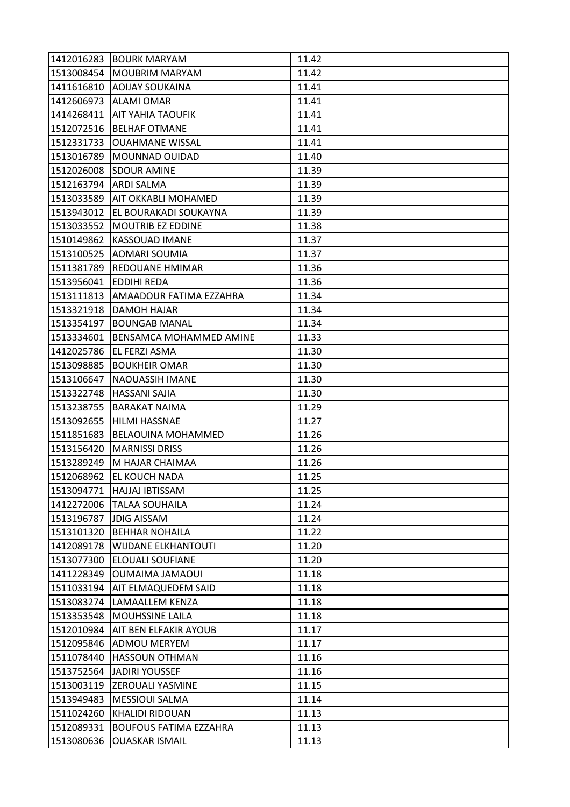|            | 1412016283 BOURK MARYAM       | 11.42 |
|------------|-------------------------------|-------|
| 1513008454 | <b>MOUBRIM MARYAM</b>         | 11.42 |
| 1411616810 | <b>AOIJAY SOUKAINA</b>        | 11.41 |
| 1412606973 | <b>ALAMI OMAR</b>             | 11.41 |
| 1414268411 | AIT YAHIA TAOUFIK             | 11.41 |
| 1512072516 | <b>BELHAF OTMANE</b>          | 11.41 |
| 1512331733 | <b>OUAHMANE WISSAL</b>        | 11.41 |
| 1513016789 | <b>MOUNNAD OUIDAD</b>         | 11.40 |
| 1512026008 | <b>SDOUR AMINE</b>            | 11.39 |
| 1512163794 | <b>ARDI SALMA</b>             | 11.39 |
| 1513033589 | AIT OKKABLI MOHAMED           | 11.39 |
| 1513943012 | EL BOURAKADI SOUKAYNA         | 11.39 |
| 1513033552 | <b>MOUTRIB EZ EDDINE</b>      | 11.38 |
| 1510149862 | <b>KASSOUAD IMANE</b>         | 11.37 |
| 1513100525 | AOMARI SOUMIA                 | 11.37 |
| 1511381789 | <b>REDOUANE HMIMAR</b>        | 11.36 |
| 1513956041 | <b>EDDIHI REDA</b>            | 11.36 |
| 1513111813 | AMAADOUR FATIMA EZZAHRA       | 11.34 |
| 1513321918 | <b>DAMOH HAJAR</b>            | 11.34 |
| 1513354197 | <b>BOUNGAB MANAL</b>          | 11.34 |
| 1513334601 | BENSAMCA MOHAMMED AMINE       | 11.33 |
| 1412025786 | EL FERZI ASMA                 | 11.30 |
| 1513098885 | <b>BOUKHEIR OMAR</b>          | 11.30 |
| 1513106647 | NAOUASSIH IMANE               | 11.30 |
| 1513322748 | <b>HASSANI SAJIA</b>          | 11.30 |
| 1513238755 | <b>BARAKAT NAIMA</b>          | 11.29 |
| 1513092655 | <b>HILMI HASSNAE</b>          | 11.27 |
| 1511851683 | BELAOUINA MOHAMMED            | 11.26 |
| 1513156420 | <b>MARNISSI DRISS</b>         | 11.26 |
| 1513289249 | M HAJAR CHAIMAA               | 11.26 |
| 1512068962 | <b>EL KOUCH NADA</b>          | 11.25 |
|            | 1513094771 HAJJAJ IBTISSAM    | 11.25 |
|            | 1412272006   TALAA SOUHAILA   | 11.24 |
| 1513196787 | <b>JDIG AISSAM</b>            | 11.24 |
| 1513101320 | <b>BEHHAR NOHAILA</b>         | 11.22 |
| 1412089178 | WIJDANE ELKHANTOUTI           | 11.20 |
| 1513077300 | <b>ELOUALI SOUFIANE</b>       | 11.20 |
| 1411228349 | <b>OUMAIMA JAMAOUI</b>        | 11.18 |
| 1511033194 | AIT ELMAQUEDEM SAID           | 11.18 |
| 1513083274 | LAMAALLEM KENZA               | 11.18 |
| 1513353548 | MOUHSSINE LAILA               | 11.18 |
| 1512010984 | AIT BEN ELFAKIR AYOUB         | 11.17 |
| 1512095846 | ADMOU MERYEM                  | 11.17 |
| 1511078440 | <b>HASSOUN OTHMAN</b>         | 11.16 |
| 1513752564 | <b>JADIRI YOUSSEF</b>         | 11.16 |
| 1513003119 | <b>ZEROUALI YASMINE</b>       | 11.15 |
| 1513949483 | <b>MESSIOUI SALMA</b>         | 11.14 |
| 1511024260 | <b>KHALIDI RIDOUAN</b>        | 11.13 |
| 1512089331 | <b>BOUFOUS FATIMA EZZAHRA</b> | 11.13 |
| 1513080636 | <b>OUASKAR ISMAIL</b>         | 11.13 |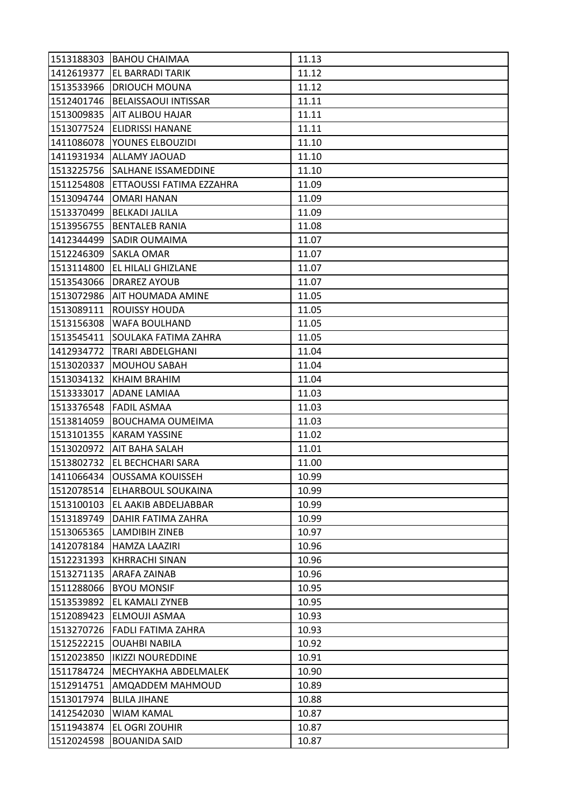|            | 1513188303 BAHOU CHAIMAA        | 11.13 |
|------------|---------------------------------|-------|
| 1412619377 | <b>EL BARRADI TARIK</b>         | 11.12 |
| 1513533966 | <b>DRIOUCH MOUNA</b>            | 11.12 |
| 1512401746 | <b>BELAISSAOUI INTISSAR</b>     | 11.11 |
| 1513009835 | <b>AIT ALIBOU HAJAR</b>         | 11.11 |
| 1513077524 | <b>ELIDRISSI HANANE</b>         | 11.11 |
| 1411086078 | YOUNES ELBOUZIDI                | 11.10 |
| 1411931934 | <b>ALLAMY JAOUAD</b>            | 11.10 |
| 1513225756 | SALHANE ISSAMEDDINE             | 11.10 |
| 1511254808 | ETTAOUSSI FATIMA EZZAHRA        | 11.09 |
| 1513094744 | <b>OMARI HANAN</b>              | 11.09 |
| 1513370499 | <b>BELKADI JALILA</b>           | 11.09 |
| 1513956755 | <b>BENTALEB RANIA</b>           | 11.08 |
| 1412344499 | <b>SADIR OUMAIMA</b>            | 11.07 |
| 1512246309 | <b>SAKLA OMAR</b>               | 11.07 |
| 1513114800 | EL HILALI GHIZLANE              | 11.07 |
| 1513543066 | <b>DRAREZ AYOUB</b>             | 11.07 |
| 1513072986 | AIT HOUMADA AMINE               | 11.05 |
| 1513089111 | <b>ROUISSY HOUDA</b>            | 11.05 |
| 1513156308 | WAFA BOULHAND                   | 11.05 |
| 1513545411 | SOULAKA FATIMA ZAHRA            | 11.05 |
| 1412934772 | TRARI ABDELGHANI                | 11.04 |
| 1513020337 | <b>MOUHOU SABAH</b>             | 11.04 |
| 1513034132 | KHAIM BRAHIM                    | 11.04 |
| 1513333017 | <b>ADANE LAMIAA</b>             | 11.03 |
| 1513376548 | <b>FADIL ASMAA</b>              | 11.03 |
| 1513814059 | <b>BOUCHAMA OUMEIMA</b>         | 11.03 |
| 1513101355 | <b>KARAM YASSINE</b>            | 11.02 |
| 1513020972 | AIT BAHA SALAH                  | 11.01 |
| 1513802732 | EL BECHCHARI SARA               | 11.00 |
| 1411066434 | <b>OUSSAMA KOUISSEH</b>         | 10.99 |
|            | 1512078514 ELHARBOUL SOUKAINA   | 10.99 |
|            | 1513100103 EL AAKIB ABDELJABBAR | 10.99 |
| 1513189749 | DAHIR FATIMA ZAHRA              | 10.99 |
| 1513065365 | <b>LAMDIBIH ZINEB</b>           | 10.97 |
| 1412078184 | HAMZA LAAZIRI                   | 10.96 |
| 1512231393 | <b>KHRRACHI SINAN</b>           | 10.96 |
| 1513271135 | <b>ARAFA ZAINAB</b>             | 10.96 |
| 1511288066 | <b>BYOU MONSIF</b>              | 10.95 |
| 1513539892 | EL KAMALI ZYNEB                 | 10.95 |
| 1512089423 | ELMOUJI ASMAA                   | 10.93 |
| 1513270726 | <b>FADLI FATIMA ZAHRA</b>       | 10.93 |
| 1512522215 | <b>OUAHBI NABILA</b>            | 10.92 |
| 1512023850 | <b>IKIZZI NOUREDDINE</b>        | 10.91 |
| 1511784724 | MECHYAKHA ABDELMALEK            | 10.90 |
| 1512914751 | AMQADDEM MAHMOUD                | 10.89 |
| 1513017974 | <b>BLILA JIHANE</b>             | 10.88 |
| 1412542030 | <b>WIAM KAMAL</b>               | 10.87 |
| 1511943874 | EL OGRI ZOUHIR                  | 10.87 |
| 1512024598 | <b>BOUANIDA SAID</b>            | 10.87 |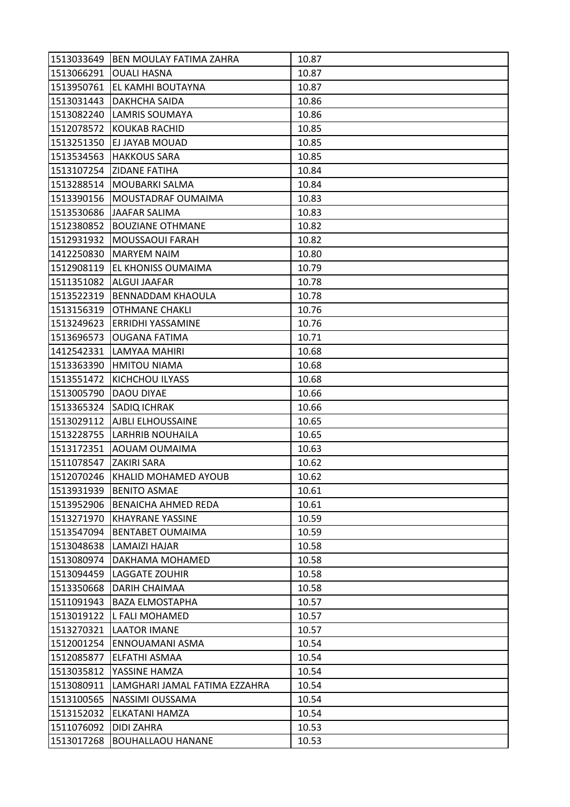| 1513033649             | <b>BEN MOULAY FATIMA ZAHRA</b> | 10.87 |
|------------------------|--------------------------------|-------|
| 1513066291             | <b>OUALI HASNA</b>             | 10.87 |
| 1513950761             | EL KAMHI BOUTAYNA              | 10.87 |
| 1513031443             | DAKHCHA SAIDA                  | 10.86 |
| 1513082240             | <b>LAMRIS SOUMAYA</b>          | 10.86 |
| 1512078572             | <b>KOUKAB RACHID</b>           | 10.85 |
|                        | 1513251350 EJ JAYAB MOUAD      | 10.85 |
| 1513534563             | <b>HAKKOUS SARA</b>            | 10.85 |
| 1513107254             | <b>ZIDANE FATIHA</b>           | 10.84 |
| 1513288514             | MOUBARKI SALMA                 | 10.84 |
| 1513390156             | MOUSTADRAF OUMAIMA             | 10.83 |
| 1513530686             | JAAFAR SALIMA                  | 10.83 |
| 1512380852             | <b>BOUZIANE OTHMANE</b>        | 10.82 |
| 1512931932             | <b>MOUSSAOUI FARAH</b>         | 10.82 |
| 1412250830             | <b>MARYEM NAIM</b>             | 10.80 |
| 1512908119             | <b>EL KHONISS OUMAIMA</b>      | 10.79 |
| 1511351082             | ALGUI JAAFAR                   | 10.78 |
| 1513522319             | BENNADDAM KHAOULA              | 10.78 |
| 1513156319             | <b>OTHMANE CHAKLI</b>          | 10.76 |
| 1513249623             | ERRIDHI YASSAMINE              | 10.76 |
| 1513696573             | <b>OUGANA FATIMA</b>           | 10.71 |
| 1412542331             | LAMYAA MAHIRI                  | 10.68 |
| 1513363390             | <b>HMITOU NIAMA</b>            | 10.68 |
| 1513551472             | KICHCHOU ILYASS                | 10.68 |
| 1513005790             | DAOU DIYAE                     | 10.66 |
| 1513365324             | SADIQ ICHRAK                   | 10.66 |
| 1513029112             | AJBLI ELHOUSSAINE              | 10.65 |
| 1513228755             | <b>LARHRIB NOUHAILA</b>        | 10.65 |
| 1513172351             | AOUAM OUMAIMA                  | 10.63 |
| 1511078547 ZAKIRI SARA |                                | 10.62 |
| 1512070246             | KHALID MOHAMED AYOUB           | 10.62 |
|                        | 1513931939   BENITO ASMAE      | 10.61 |
| 1513952906             | <b>BENAICHA AHMED REDA</b>     | 10.61 |
| 1513271970             | <b>KHAYRANE YASSINE</b>        | 10.59 |
| 1513547094             | <b>BENTABET OUMAIMA</b>        | 10.59 |
| 1513048638             | LAMAIZI HAJAR                  | 10.58 |
| 1513080974             | DAKHAMA MOHAMED                | 10.58 |
| 1513094459             | <b>LAGGATE ZOUHIR</b>          | 10.58 |
| 1513350668             | <b>DARIH CHAIMAA</b>           | 10.58 |
| 1511091943             | <b>BAZA ELMOSTAPHA</b>         | 10.57 |
| 1513019122             | L FALI MOHAMED                 | 10.57 |
| 1513270321             | <b>LAATOR IMANE</b>            | 10.57 |
| 1512001254             | ENNOUAMANI ASMA                | 10.54 |
| 1512085877             | ELFATHI ASMAA                  | 10.54 |
| 1513035812             | YASSINE HAMZA                  | 10.54 |
| 1513080911             | LAMGHARI JAMAL FATIMA EZZAHRA  | 10.54 |
| 1513100565             | NASSIMI OUSSAMA                | 10.54 |
| 1513152032             | ELKATANI HAMZA                 | 10.54 |
| 1511076092             | <b>DIDI ZAHRA</b>              | 10.53 |
| 1513017268             | <b>BOUHALLAOU HANANE</b>       | 10.53 |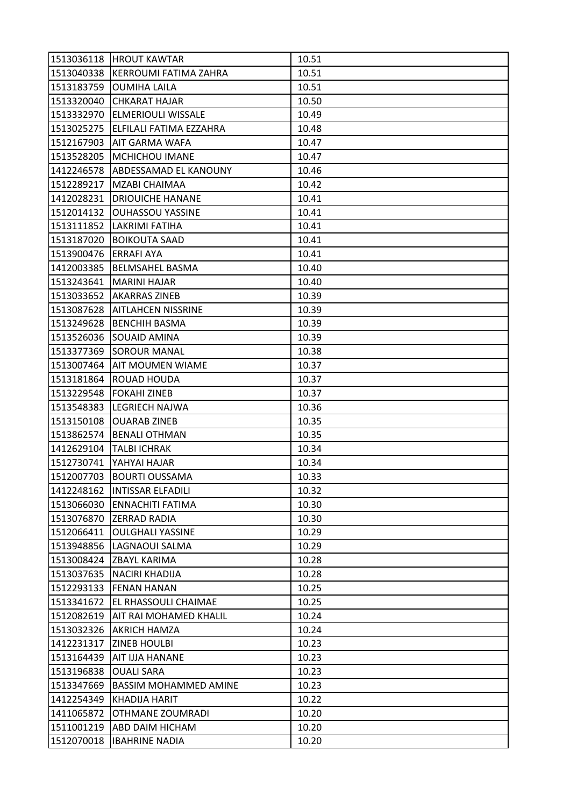|            | 1513036118 HROUT KAWTAR          | 10.51 |
|------------|----------------------------------|-------|
|            | 1513040338 KERROUMI FATIMA ZAHRA | 10.51 |
| 1513183759 | <b>OUMIHA LAILA</b>              | 10.51 |
| 1513320040 | <b>CHKARAT HAJAR</b>             | 10.50 |
| 1513332970 | <b>ELMERIOULI WISSALE</b>        | 10.49 |
| 1513025275 | ELFILALI FATIMA EZZAHRA          | 10.48 |
| 1512167903 | AIT GARMA WAFA                   | 10.47 |
| 1513528205 | <b>MCHICHOU IMANE</b>            | 10.47 |
| 1412246578 | ABDESSAMAD EL KANOUNY            | 10.46 |
| 1512289217 | MZABI CHAIMAA                    | 10.42 |
| 1412028231 | <b>DRIOUICHE HANANE</b>          | 10.41 |
| 1512014132 | <b>OUHASSOU YASSINE</b>          | 10.41 |
| 1513111852 | LAKRIMI FATIHA                   | 10.41 |
| 1513187020 | <b>BOIKOUTA SAAD</b>             | 10.41 |
| 1513900476 | <b>ERRAFI AYA</b>                | 10.41 |
| 1412003385 | <b>BELMSAHEL BASMA</b>           | 10.40 |
| 1513243641 | <b>MARINI HAJAR</b>              | 10.40 |
| 1513033652 | <b>AKARRAS ZINEB</b>             | 10.39 |
| 1513087628 | <b>AITLAHCEN NISSRINE</b>        | 10.39 |
| 1513249628 | <b>BENCHIH BASMA</b>             | 10.39 |
| 1513526036 | SOUAID AMINA                     | 10.39 |
| 1513377369 | <b>SOROUR MANAL</b>              | 10.38 |
| 1513007464 | AIT MOUMEN WIAME                 | 10.37 |
| 1513181864 | <b>ROUAD HOUDA</b>               | 10.37 |
| 1513229548 | <b>FOKAHI ZINEB</b>              | 10.37 |
| 1513548383 | <b>LEGRIECH NAJWA</b>            | 10.36 |
| 1513150108 | <b>OUARAB ZINEB</b>              | 10.35 |
| 1513862574 | <b>BENALI OTHMAN</b>             | 10.35 |
| 1412629104 | <b>TALBI ICHRAK</b>              | 10.34 |
| 1512730741 | YAHYAI HAJAR                     | 10.34 |
| 1512007703 | <b>BOURTI OUSSAMA</b>            | 10.33 |
|            | 1412248162  INTISSAR ELFADILI    | 10.32 |
|            | 1513066030 ENNACHITI FATIMA      | 10.30 |
| 1513076870 | <b>ZERRAD RADIA</b>              | 10.30 |
| 1512066411 | <b>OULGHALI YASSINE</b>          | 10.29 |
| 1513948856 | LAGNAOUI SALMA                   | 10.29 |
|            | 1513008424 ZBAYL KARIMA          | 10.28 |
| 1513037635 | <b>NACIRI KHADIJA</b>            | 10.28 |
| 1512293133 | <b>FENAN HANAN</b>               | 10.25 |
| 1513341672 | EL RHASSOULI CHAIMAE             | 10.25 |
| 1512082619 | AIT RAI MOHAMED KHALIL           | 10.24 |
| 1513032326 | <b>AKRICH HAMZA</b>              | 10.24 |
| 1412231317 | <b>ZINEB HOULBI</b>              | 10.23 |
| 1513164439 | AIT IJJA HANANE                  | 10.23 |
| 1513196838 | <b>OUALI SARA</b>                | 10.23 |
| 1513347669 | <b>BASSIM MOHAMMED AMINE</b>     | 10.23 |
| 1412254349 | <b>KHADIJA HARIT</b>             | 10.22 |
| 1411065872 | OTHMANE ZOUMRADI                 | 10.20 |
| 1511001219 | ABD DAIM HICHAM                  | 10.20 |
| 1512070018 | <b>IBAHRINE NADIA</b>            | 10.20 |